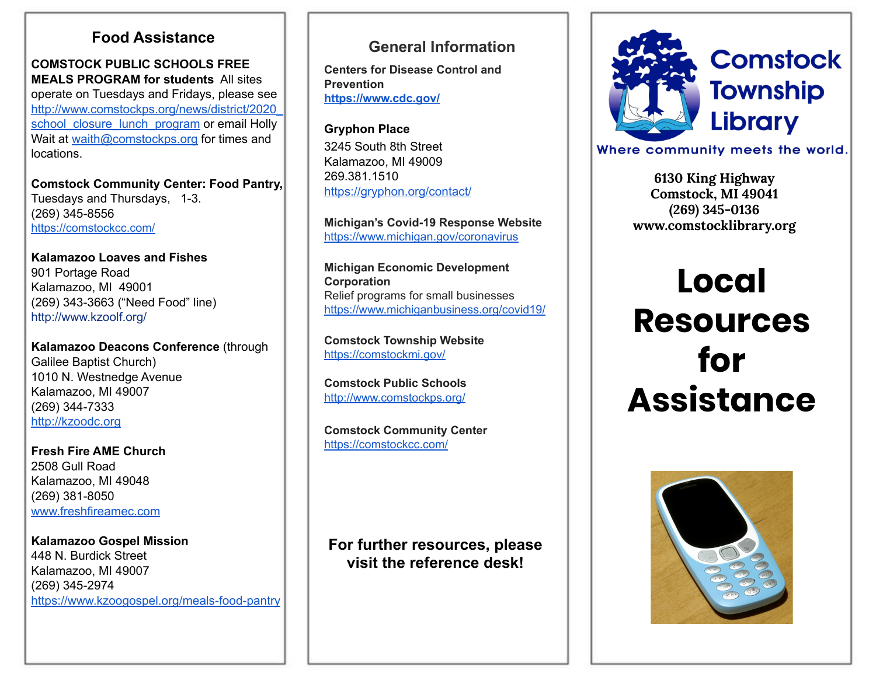## **Food Assistance General Information**

**COMSTOCK PUBLIC SCHOOLS FREE MEALS PROGRAM for students** All sites operate on Tuesdays and Fridays, please see [http://www.comstockps.org/news/district/2020\\_](http://www.comstockps.org/news/district/2020_school_closure_lunch_program) [school\\_closure\\_lunch\\_program](http://www.comstockps.org/news/district/2020_school_closure_lunch_program) or email Holly Wait at [waith@comstockps.org](mailto:waith@comstockps.org) for times and locations.

**Comstock Community Center: Food Pantry,**  Tuesdays and Thursdays, 1-3. (269) 345-8556 <https://comstockcc.com/>

**Kalamazoo Loaves and Fishes** 901 Portage Road Kalamazoo, MI 49001 (269) 343-3663 ("Need Food" line) <http://www.kzoolf.org/>

**Kalamazoo Deacons Conference** (through Galilee Baptist Church) 1010 N. Westnedge Avenue Kalamazoo, MI 49007 (269) 344-7333 [http://kzoodc.org](http://kzoodc.org/)

**Fresh Fire AME Church** 2508 Gull Road Kalamazoo, MI 49048 (269) 381-8050 [www.freshfireamec.com](http://www.freshfireamec.com/)

**Kalamazoo Gospel Mission** 448 N. Burdick Street Kalamazoo, MI 49007 (269) 345-2974 <https://www.kzoogospel.org/meals-food-pantry>

**Centers for Disease Control and Prevention <https://www.cdc.gov/>**

**Gryphon Place** 3245 South 8th Street Kalamazoo, MI 49009 269.381.1510 <https://gryphon.org/contact/>

**Michigan's Covid-19 Response Website** <https://www.michigan.gov/coronavirus>

**Michigan Economic Development Corporation** Relief programs for small businesses <https://www.michiganbusiness.org/covid19/>

**Comstock Township Website** <https://comstockmi.gov/>

**Comstock Public Schools** <http://www.comstockps.org/>

**Comstock Community Center** <https://comstockcc.com/>

**For further resources, please visit the reference desk!**



Where community meets the world.

**6130 King Highway Comstock, MI 49041 (269) 345-0136 www.comstocklibrary.org**

# **Local Resources for Assistance**